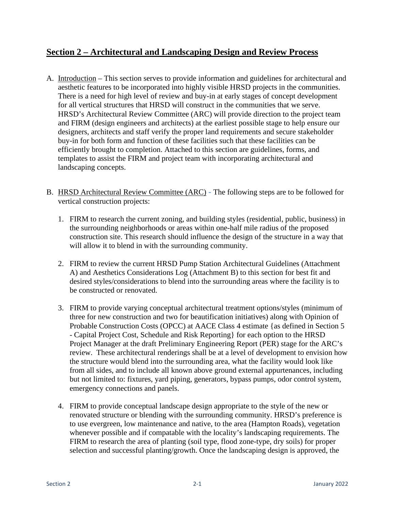## **Section 2 – Architectural and Landscaping Design and Review Process**

- A. Introduction This section serves to provide information and guidelines for architectural and aesthetic features to be incorporated into highly visible HRSD projects in the communities. There is a need for high level of review and buy-in at early stages of concept development for all vertical structures that HRSD will construct in the communities that we serve. HRSD's Architectural Review Committee (ARC) will provide direction to the project team and FIRM (design engineers and architects) at the earliest possible stage to help ensure our designers, architects and staff verify the proper land requirements and secure stakeholder buy-in for both form and function of these facilities such that these facilities can be efficiently brought to completion. Attached to this section are guidelines, forms, and templates to assist the FIRM and project team with incorporating architectural and landscaping concepts.
- B. HRSD Architectural Review Committee (ARC) The following steps are to be followed for vertical construction projects:
	- 1. FIRM to research the current zoning, and building styles (residential, public, business) in the surrounding neighborhoods or areas within one-half mile radius of the proposed construction site. This research should influence the design of the structure in a way that will allow it to blend in with the surrounding community.
	- 2. FIRM to review the current HRSD Pump Station Architectural Guidelines (Attachment A) and Aesthetics Considerations Log (Attachment B) to this section for best fit and desired styles/considerations to blend into the surrounding areas where the facility is to be constructed or renovated.
	- 3. FIRM to provide varying conceptual architectural treatment options/styles (minimum of three for new construction and two for beautification initiatives) along with Opinion of Probable Construction Costs (OPCC) at AACE Class 4 estimate {as defined in Section 5 - Capital Project Cost, Schedule and Risk Reporting} for each option to the HRSD Project Manager at the draft Preliminary Engineering Report (PER) stage for the ARC's review. These architectural renderings shall be at a level of development to envision how the structure would blend into the surrounding area, what the facility would look like from all sides, and to include all known above ground external appurtenances, including but not limited to: fixtures, yard piping, generators, bypass pumps, odor control system, emergency connections and panels.
	- 4. FIRM to provide conceptual landscape design appropriate to the style of the new or renovated structure or blending with the surrounding community. HRSD's preference is to use evergreen, low maintenance and native, to the area (Hampton Roads), vegetation whenever possible and if compatable with the locality's landscaping requirements. The FIRM to research the area of planting (soil type, flood zone-type, dry soils) for proper selection and successful planting/growth. Once the landscaping design is approved, the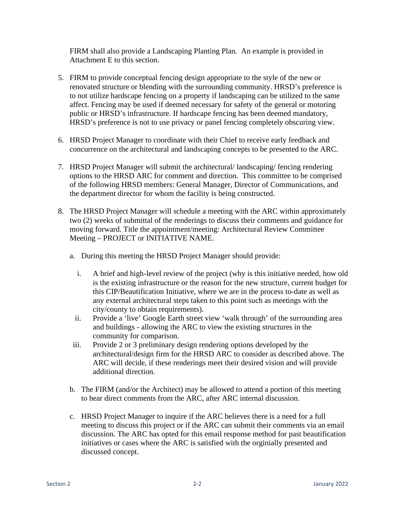FIRM shall also provide a Landscaping Planting Plan. An example is provided in Attachment E to this section.

- 5. FIRM to provide conceptual fencing design appropriate to the style of the new or renovated structure or blending with the surrounding community. HRSD's preference is to not utilize hardscape fencing on a property if landscaping can be utilized to the same affect. Fencing may be used if deemed necessary for safety of the general or motoring public or HRSD's infrastructure. If hardscape fencing has been deemed mandatory, HRSD's preference is not to use privacy or panel fencing completely obscuring view.
- 6. HRSD Project Manager to coordinate with their Chief to receive early feedback and concurrence on the architectural and landscaping concepts to be presented to the ARC.
- 7. HRSD Project Manager will submit the architectural/ landscaping/ fencing rendering options to the HRSD ARC for comment and direction. This committee to be comprised of the following HRSD members: General Manager, Director of Communications, and the department director for whom the facility is being constructed.
- 8. The HRSD Project Manager will schedule a meeting with the ARC within approximately two (2) weeks of submittal of the renderings to discuss their comments and guidance for moving forward. Title the appointment/meeting: Architectural Review Committee Meeting – PROJECT or INITIATIVE NAME.
	- a. During this meeting the HRSD Project Manager should provide:
		- i. A brief and high-level review of the project (why is this initiative needed, how old is the existing infrastructure or the reason for the new structure, current budget for this CIP/Beautification Initiative, where we are in the process to-date as well as any external architectural steps taken to this point such as meetings with the city/county to obtain requirements).
		- ii. Provide a 'live' Google Earth street view 'walk through' of the surrounding area and buildings - allowing the ARC to view the existing structures in the community for comparison.
	- iii. Provide 2 or 3 preliminary design rendering options developed by the architectural/design firm for the HRSD ARC to consider as described above. The ARC will decide, if these renderings meet their desired vision and will provide additional direction.
	- b. The FIRM (and/or the Architect) may be allowed to attend a portion of this meeting to hear direct comments from the ARC, after ARC internal discussion.
	- c. HRSD Project Manager to inquire if the ARC believes there is a need for a full meeting to discuss this project or if the ARC can submit their comments via an email discussion. The ARC has opted for this email response method for past beautification initiatives or cases where the ARC is satisfied with the orginially presented and discussed concept.